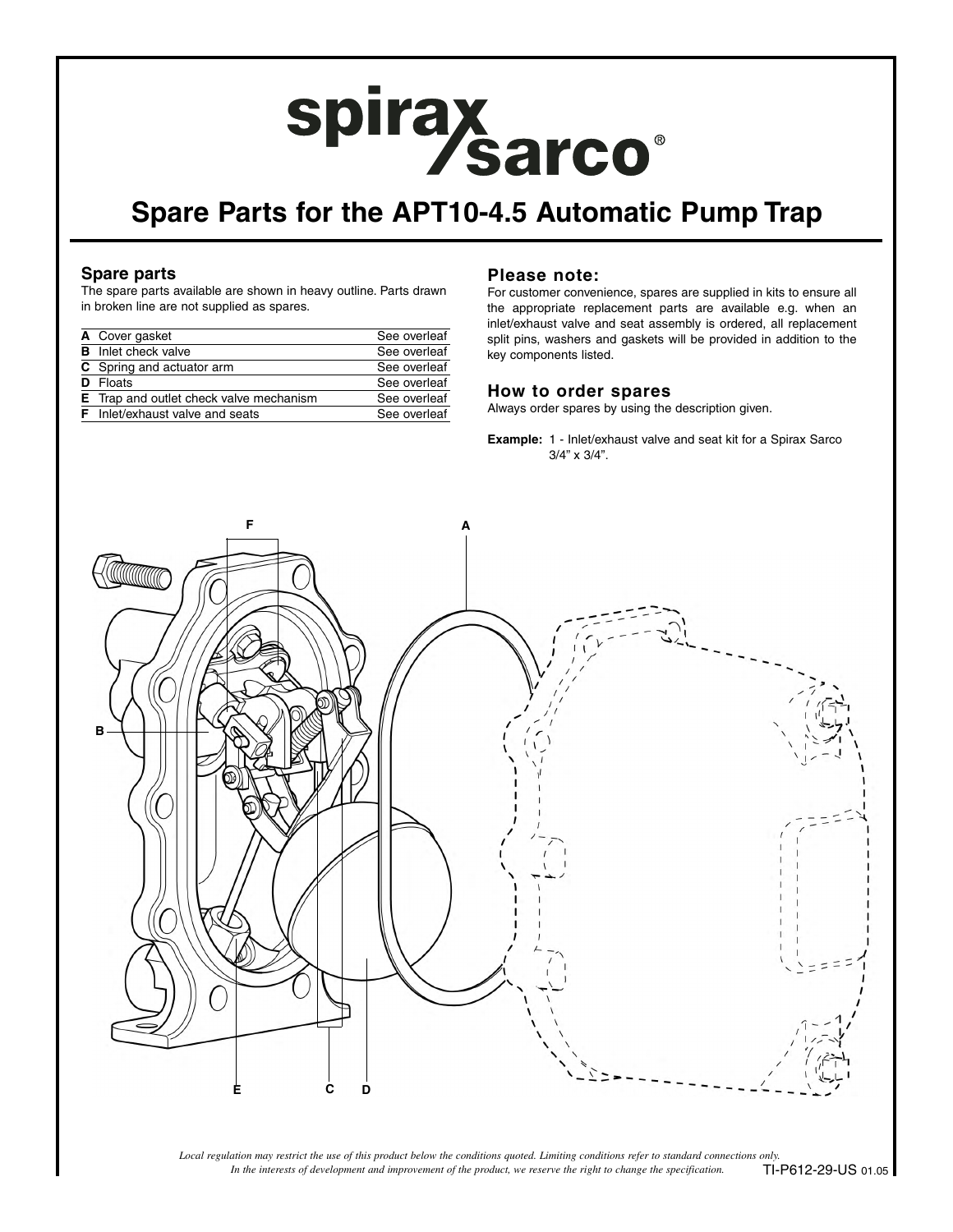# spirax sarco®

# **Spare Parts for the APT10-4.5 Automatic Pump Trap**

## **Spare parts**

The spare parts available are shown in heavy outline. Parts drawn in broken line are not supplied as spares.

| A Cover gasket                                 | See overleaf |
|------------------------------------------------|--------------|
| <b>B</b> Inlet check valve                     | See overleaf |
| C Spring and actuator arm                      | See overleaf |
| <b>D</b> Floats                                | See overleaf |
| <b>E</b> Trap and outlet check valve mechanism | See overleaf |
| <b>F</b> Inlet/exhaust valve and seats         | See overleaf |

## **Please note:**

For customer convenience, spares are supplied in kits to ensure all the appropriate replacement parts are available e.g. when an inlet/exhaust valve and seat assembly is ordered, all replacement split pins, washers and gaskets will be provided in addition to the key components listed.

#### **How to order spares**

Always order spares by using the description given.

**Example:** 1 - Inlet/exhaust valve and seat kit for a Spirax Sarco 3/4" x 3/4".



*In the interests of development and improvement of the product, we reserve the right to change the specification. Local regulation may restrict the use of this product below the conditions quoted. Limiting conditions refer to standard connections only.* TI-P612-29-US 01.05